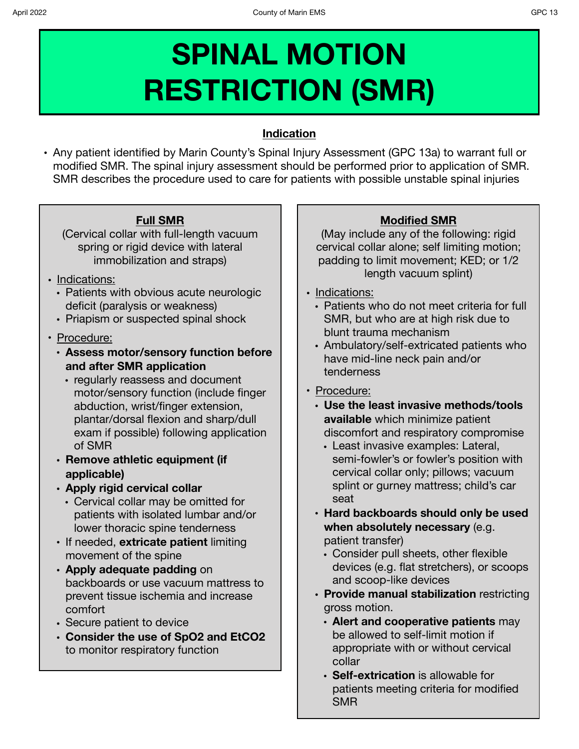# **SPINAL MOTION RESTRICTION (SMR)**

### **Indication**

**•** Any patient identified by Marin County's Spinal Injury Assessment (GPC 13a) to warrant full or modified SMR. The spinal injury assessment should be performed prior to application of SMR. SMR describes the procedure used to care for patients with possible unstable spinal injuries

## **Full SMR**

(Cervical collar with full-length vacuum spring or rigid device with lateral immobilization and straps)

- Indications:
	- Patients with obvious acute neurologic deficit (paralysis or weakness)
	- Priapism or suspected spinal shock
- Procedure:
	- **• Assess motor/sensory function before and after SMR application** 
		- **•** regularly reassess and document motor/sensory function (include finger abduction, wrist/finger extension, plantar/dorsal flexion and sharp/dull exam if possible) following application of SMR
	- **• Remove athletic equipment (if applicable)**
	- **• Apply rigid cervical collar** 
		- Cervical collar may be omitted for patients with isolated lumbar and/or lower thoracic spine tenderness
	- If needed, **extricate patient** limiting movement of the spine
	- **• Apply adequate padding** on backboards or use vacuum mattress to prevent tissue ischemia and increase comfort
	- **•** Secure patient to device
	- **• Consider the use of SpO2 and EtCO2**  to monitor respiratory function

## **Modified SMR**

(May include any of the following: rigid cervical collar alone; self limiting motion; padding to limit movement; KED; or 1/2 length vacuum splint)

- Indications:
	- Patients who do not meet criteria for full SMR, but who are at high risk due to blunt trauma mechanism
	- Ambulatory/self-extricated patients who have mid-line neck pain and/or tenderness
- Procedure:
	- **• Use the least invasive methods/tools available** which minimize patient discomfort and respiratory compromise
		- **•** Least invasive examples: Lateral, semi-fowler's or fowler's position with cervical collar only; pillows; vacuum splint or gurney mattress; child's car seat
	- **• Hard backboards should only be used when absolutely necessary** (e.g. patient transfer)
		- **•** Consider pull sheets, other flexible devices (e.g. flat stretchers), or scoops and scoop-like devices
	- **• Provide manual stabilization** restricting gross motion.
		- **• Alert and cooperative patients** may be allowed to self-limit motion if appropriate with or without cervical collar
		- **• Self-extrication** is allowable for patients meeting criteria for modified SMR